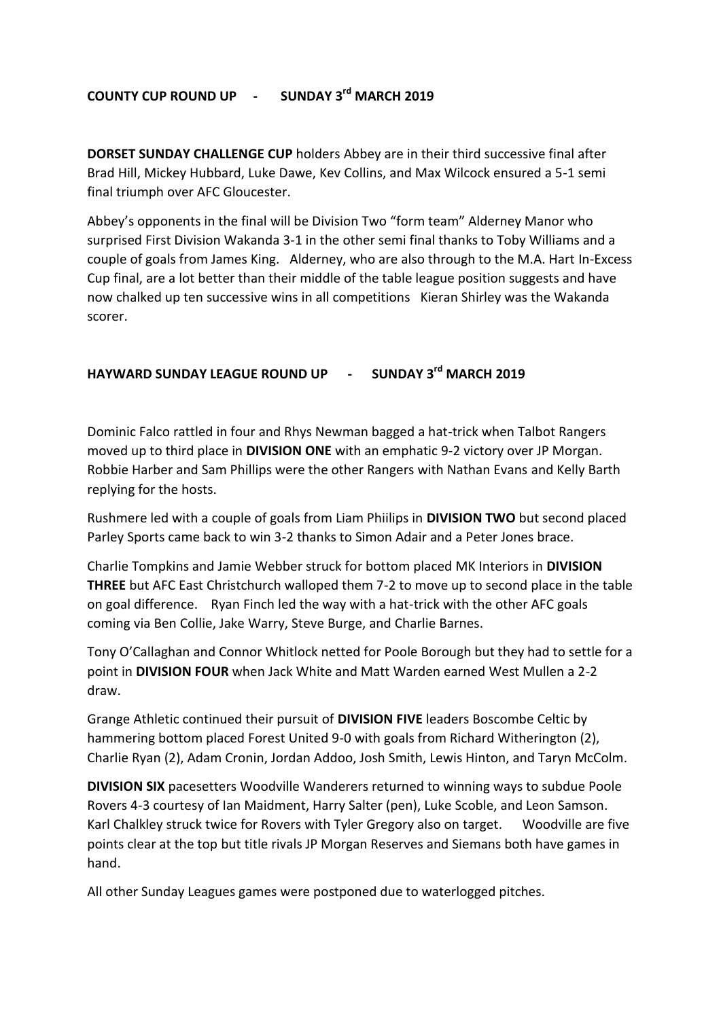## **COUNTY CUP ROUND UP - SUNDAY 3rd MARCH 2019**

**DORSET SUNDAY CHALLENGE CUP** holders Abbey are in their third successive final after Brad Hill, Mickey Hubbard, Luke Dawe, Kev Collins, and Max Wilcock ensured a 5-1 semi final triumph over AFC Gloucester.

Abbey's opponents in the final will be Division Two "form team" Alderney Manor who surprised First Division Wakanda 3-1 in the other semi final thanks to Toby Williams and a couple of goals from James King. Alderney, who are also through to the M.A. Hart In-Excess Cup final, are a lot better than their middle of the table league position suggests and have now chalked up ten successive wins in all competitions Kieran Shirley was the Wakanda scorer.

## **HAYWARD SUNDAY LEAGUE ROUND UP - SUNDAY 3rd MARCH 2019**

Dominic Falco rattled in four and Rhys Newman bagged a hat-trick when Talbot Rangers moved up to third place in **DIVISION ONE** with an emphatic 9-2 victory over JP Morgan. Robbie Harber and Sam Phillips were the other Rangers with Nathan Evans and Kelly Barth replying for the hosts.

Rushmere led with a couple of goals from Liam Phiilips in **DIVISION TWO** but second placed Parley Sports came back to win 3-2 thanks to Simon Adair and a Peter Jones brace.

Charlie Tompkins and Jamie Webber struck for bottom placed MK Interiors in **DIVISION THREE** but AFC East Christchurch walloped them 7-2 to move up to second place in the table on goal difference. Ryan Finch led the way with a hat-trick with the other AFC goals coming via Ben Collie, Jake Warry, Steve Burge, and Charlie Barnes.

Tony O'Callaghan and Connor Whitlock netted for Poole Borough but they had to settle for a point in **DIVISION FOUR** when Jack White and Matt Warden earned West Mullen a 2-2 draw.

Grange Athletic continued their pursuit of **DIVISION FIVE** leaders Boscombe Celtic by hammering bottom placed Forest United 9-0 with goals from Richard Witherington (2), Charlie Ryan (2), Adam Cronin, Jordan Addoo, Josh Smith, Lewis Hinton, and Taryn McColm.

**DIVISION SIX** pacesetters Woodville Wanderers returned to winning ways to subdue Poole Rovers 4-3 courtesy of Ian Maidment, Harry Salter (pen), Luke Scoble, and Leon Samson. Karl Chalkley struck twice for Rovers with Tyler Gregory also on target. Woodville are five points clear at the top but title rivals JP Morgan Reserves and Siemans both have games in hand.

All other Sunday Leagues games were postponed due to waterlogged pitches.